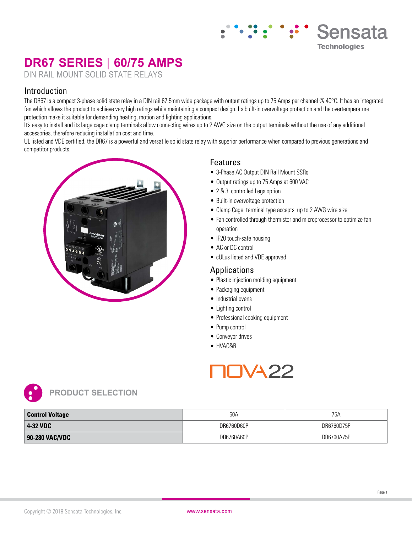# **DR67 SERIES | 60/75 AMPS**

DIN RAIL MOUNT SOLID STATE RELAYS

#### Introduction

The DR67 is a compact 3-phase solid state relay in a DIN rail 67.5mm wide package with output ratings up to 75 Amps per channel @ 40°C. It has an integrated fan which allows the product to achieve very high ratings while maintaining a compact design. Its built-in overvoltage protection and the overtemperature protection make it suitable for demanding heating, motion and lighting applications.

It's easy to install and its large cage clamp terminals allow connecting wires up to 2 AWG size on the output terminals without the use of any additional accessories, therefore reducing installation cost and time.

UL listed and VDE certified, the DR67 is a powerful and versatile solid state relay with superior performance when compared to previous generations and competitor products.



#### Features

- 3-Phase AC Output DIN Rail Mount SSRs
- Output ratings up to 75 Amps at 600 VAC
- 2 & 3 controlled Legs option
- Built-in overvoltage protection
- Clamp Cage terminal type accepts up to 2 AWG wire size
- Fan controlled through thermistor and microprocessor to optimize fan operation

Sensata

**Technologies** 

- IP20 touch-safe housing
- AC or DC control
- cULus listed and VDE approved

#### Applications

- Plastic injection molding equipment
- Packaging equipment
- Industrial ovens
- Lighting control
- Professional cooking equipment
- Pump control
- Conveyor drives
- HVAC&R





| <b>Control Voltage</b> | 60A        | 75A        |
|------------------------|------------|------------|
| 4-32 VDC               | DR6760D60P | DR6760D75P |
| 90-280 VAC/VDC         | DR6760A60P | DR6760A75P |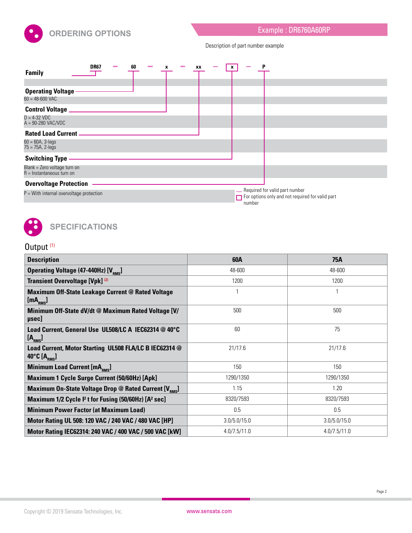

Description of part number example

| <b>Family</b>                                                                        | <b>DR67</b><br><b>Contract</b> | 60 | XX | x |        | P                                                                                         |
|--------------------------------------------------------------------------------------|--------------------------------|----|----|---|--------|-------------------------------------------------------------------------------------------|
| <b>Operating Voltage</b><br>$60 = 48 - 600$ VAC                                      |                                |    |    |   |        |                                                                                           |
| <b>Control Voltage _</b><br>$D = 4-32$ VDC<br>$A = 90-280$ VAC/VDC                   |                                |    |    |   |        |                                                                                           |
| <b>Rated Load Current -</b><br>$60 = 60A, 3 - legs$<br>$75 = 75A, 2 - legs$          |                                |    |    |   |        |                                                                                           |
| <b>Switching Type</b><br>Blank = Zero voltage turn on<br>$R =$ Instantaneous turn on |                                |    |    |   |        |                                                                                           |
| <b>Overvoltage Protection</b><br>$P =$ With internal overvoltage protection          |                                |    |    |   | number | Required for valid part number<br>$\Box$ For options only and not required for valid part |



## Output<sup>(1)</sup>

| <b>Description</b>                                                                                   | 60A          | 75A          |
|------------------------------------------------------------------------------------------------------|--------------|--------------|
| Operating Voltage (47-440Hz) [V <sub>RMS</sub> ]                                                     | 48-600       | 48-600       |
| Transient Overvoltage [Vpk] (2)                                                                      | 1200         | 1200         |
| <b>Maximum Off-State Leakage Current @ Rated Voltage</b><br>[mA <sub>RMS</sub> ]                     |              |              |
| Minimum Off-State dV/dt @ Maximum Rated Voltage [V/<br>µsec]                                         | 500          | 500          |
| Load Current, General Use UL508/LC A IEC62314 @ 40°C<br>[A <sub>RMS</sub> ]                          | 60           | 75           |
| Load Current, Motor Starting UL508 FLA/LC B IEC62314 @<br>40 $^{\circ}$ C [A $_{\text{\tiny RMS}}$ ] | 21/17.6      | 21/17.6      |
| Minimum Load Current [mA <sub>RMS</sub> ]                                                            | 150          | 150          |
| Maximum 1 Cycle Surge Current (50/60Hz) [Apk]                                                        | 1290/1350    | 1290/1350    |
| Maximum On-State Voltage Drop @ Rated Current [V <sub>BMS</sub> ]                                    | 1.15         | 1.20         |
| Maximum 1/2 Cycle <sup>12</sup> t for Fusing (50/60Hz) [A <sup>2</sup> sec]                          | 8320/7593    | 8320/7593    |
| <b>Minimum Power Factor (at Maximum Load)</b>                                                        | 0.5          | 0.5          |
| Motor Rating UL 508: 120 VAC / 240 VAC / 480 VAC [HP]                                                | 3.0/5.0/15.0 | 3.0/5.0/15.0 |
| Motor Rating IEC62314: 240 VAC / 400 VAC / 500 VAC [kW]                                              | 4.0/7.5/11.0 | 4.0/7.5/11.0 |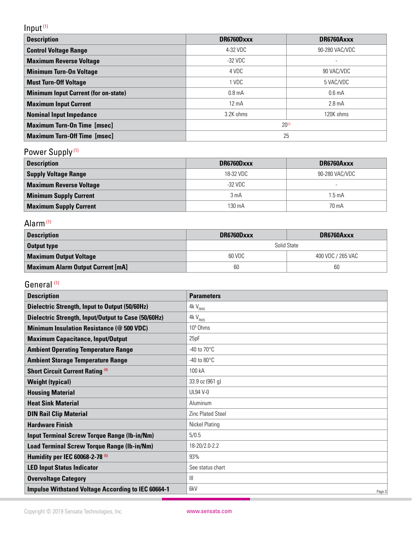# Input (1)

| <b>Description</b>                          | DR6760Dxxx         | DR6760Axxx         |  |  |
|---------------------------------------------|--------------------|--------------------|--|--|
| <b>Control Voltage Range</b>                | 4-32 VDC           | 90-280 VAC/VDC     |  |  |
| <b>Maximum Reverse Voltage</b>              | -32 VDC            |                    |  |  |
| <b>Minimum Turn-On Voltage</b>              | 4 VDC              | 90 VAC/VDC         |  |  |
| <b>Must Turn-Off Voltage</b>                | 1 VDC              | 5 VAC/VDC          |  |  |
| <b>Minimum Input Current (for on-state)</b> | 0.8 <sub>m</sub> A | 0.6 <sub>m</sub> A |  |  |
| <b>Maximum Input Current</b>                | $12 \text{ mA}$    | $2.8 \text{ mA}$   |  |  |
| <b>Nominal Input Impedance</b>              | 3.2K ohms          | 120K ohms          |  |  |
| <b>Maximum Turn-On Time [msec]</b>          | $20^{(3)}$         |                    |  |  |
| <b>Maximum Turn-Off Time [msec]</b>         | 25                 |                    |  |  |

# Power Supply<sup>(1)</sup>

| <b>Description</b>             | DR6760Dxxx       | DR6760Axxx     |
|--------------------------------|------------------|----------------|
| <b>Supply Voltage Range</b>    | 18-32 VDC        | 90-280 VAC/VDC |
| <b>Maximum Reverse Voltage</b> | -32 VDC          |                |
| <b>Minimum Supply Current</b>  | 3 <sub>m</sub> A | 1.5 mA         |
| <b>Maximum Supply Current</b>  | 130 mA           | 70 mA          |

## Alarm (1)

| <b>Description</b>                       | DR6760Dxxx  | DR6760Axxx        |  |  |  |
|------------------------------------------|-------------|-------------------|--|--|--|
| <b>Output type</b>                       | Solid State |                   |  |  |  |
| <b>Maximum Output Voltage</b>            | 60 VDC      | 400 VDC / 265 VAC |  |  |  |
| <b>Maximum Alarm Output Current [mA]</b> | 60          | 60                |  |  |  |

### General<sup>(1)</sup>

| <b>Description</b>                                         | <b>Parameters</b>        |
|------------------------------------------------------------|--------------------------|
| <b>Dielectric Strength, Input to Output (50/60Hz)</b>      | $4k\,V_{\rm RMS}$        |
| <b>Dielectric Strength, Input/Output to Case (50/60Hz)</b> | $4kV_{RMS}$              |
| <b>Minimum Insulation Resistance (@ 500 VDC)</b>           | 10 <sup>9</sup> Ohms     |
| <b>Maximum Capacitance, Input/Output</b>                   | 25pF                     |
| <b>Ambient Operating Temperature Range</b>                 | -40 to $70^{\circ}$ C    |
| <b>Ambient Storage Temperature Range</b>                   | -40 to $80^{\circ}$ C    |
| <b>Short Circuit Current Rating (4)</b>                    | 100 kA                   |
| <b>Weight (typical)</b>                                    | 33.9 oz (961 g)          |
| <b>Housing Material</b>                                    | <b>UL94 V-0</b>          |
| <b>Heat Sink Material</b>                                  | Aluminum                 |
| <b>DIN Rail Clip Material</b>                              | <b>Zinc Plated Steel</b> |
| <b>Hardware Finish</b>                                     | <b>Nickel Plating</b>    |
| <b>Input Terminal Screw Torque Range (Ib-in/Nm)</b>        | 5/0.5                    |
| Load Terminal Screw Torque Range (Ib-in/Nm)                | 18-20/2.0-2.2            |
| Humidity per IEC 60068-2-78 <sup>(5)</sup>                 | 93%                      |
| <b>LED Input Status Indicator</b>                          | See status chart         |
| <b>Overvoltage Category</b>                                | $\mathbb{H}$             |
| <b>Impulse Withstand Voltage According to IEC 60664-1</b>  | 6kV<br>Page 3            |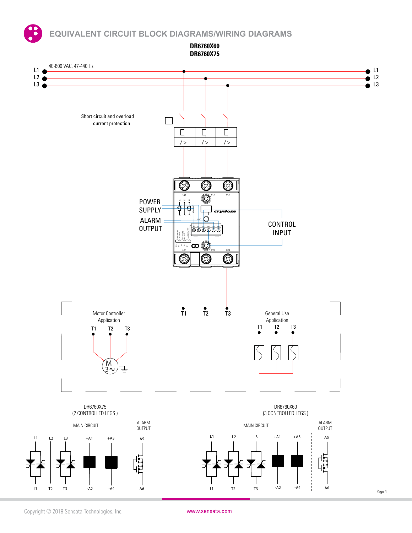**EQUIVALENT CIRCUIT BLOCK DIAGRAMS/WIRING DIAGRAMS**

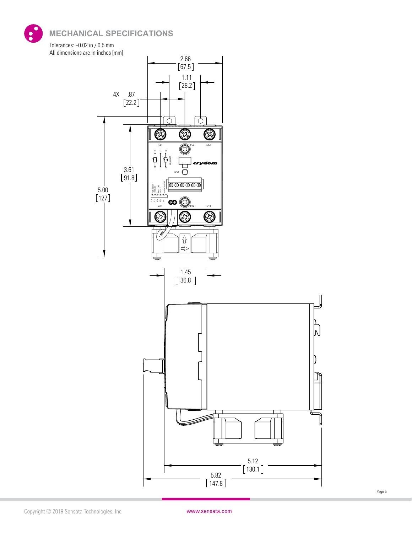**MECHANICAL SPECIFICATIONS**





Page 5

5.82 147.8 130.1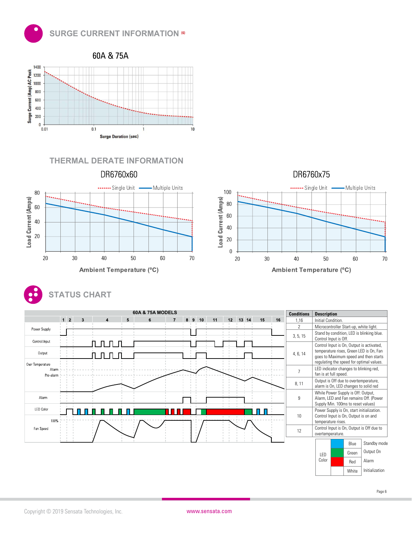









|                  |                |   | <b>60A &amp; 75A MODELS</b> |   |   |    |    |    |       |    |    | <b>Conditions</b> | <b>Description</b>                                                               |
|------------------|----------------|---|-----------------------------|---|---|----|----|----|-------|----|----|-------------------|----------------------------------------------------------------------------------|
|                  | $1\quad2$<br>3 | 5 | 6                           | 8 | 9 | 10 | 11 | 12 | 13 14 | 15 | 16 | 1,16              | Initial Condition.                                                               |
| Power Supply     |                |   |                             |   |   |    |    |    |       |    |    | $\overline{2}$    | Microcontroller Start-up, white light.                                           |
| Control Input    |                |   |                             |   |   |    |    |    |       |    |    | 3, 5, 15          | Stand by condition, LED is blinking blue.<br>Control Input is Off.               |
|                  | <b>COLLA</b>   |   |                             |   |   |    |    |    |       |    |    |                   | Control Input is On, Output is activated,                                        |
| Output           |                |   |                             |   |   |    |    |    |       |    |    | 4, 6, 14          | temperature rises, Green LED is On, Fan<br>goes to Maximum speed and then starts |
| Over Temperature |                |   |                             |   |   |    |    |    |       |    |    |                   | regulating the speed for optimal values.                                         |
| Alam             |                |   |                             |   |   |    |    |    |       |    |    |                   | LED indicator changes to blinking red,                                           |
| Pre-alarm        |                |   |                             |   |   |    |    |    |       |    |    |                   | fan is at full speed.                                                            |
|                  |                |   |                             |   |   |    |    |    |       |    |    | 8, 11             | Output is Off due to overtemperature,                                            |
|                  |                |   |                             |   |   |    |    |    |       |    |    |                   | alarm is On, LED changes to solid red                                            |
| Alam             |                |   |                             |   |   |    |    |    |       |    |    | 9                 | While Power Supply is Off: Output,<br>Alarm, LED and Fan remains Off. (Power     |
|                  |                |   |                             |   |   |    |    |    |       |    |    |                   | Supply Min. 100ms to reset values)                                               |
| <b>LED Color</b> |                |   |                             |   |   |    |    |    |       |    |    |                   | Power Supply is On, start initialization.                                        |
|                  |                |   |                             |   |   |    |    |    |       |    |    | 10                | Control Input is On, Output is on and                                            |
|                  |                |   |                             |   |   |    |    |    |       |    |    |                   | temperature rises.                                                               |
| Fan Speed        |                |   |                             |   |   |    |    |    |       |    |    | 12                | Control Input is On, Output is Off due to                                        |
|                  |                |   |                             |   |   |    |    |    |       |    |    |                   | overtemperature.                                                                 |
|                  |                |   |                             |   |   |    |    |    |       |    |    |                   | Standby mode<br>Blue                                                             |
|                  |                |   |                             |   |   |    |    |    |       |    |    |                   | $Q$ utnut $Qn$<br>$\sim$                                                         |

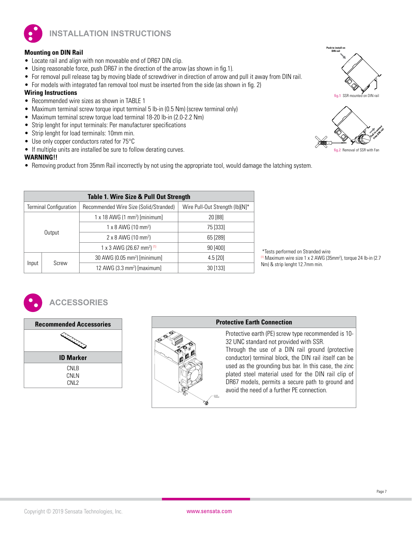

**INSTALLATION INSTRUCTIONS**

#### **Mounting on DIN Rail**

- Locate rail and align with non moveable end of DR67 DIN clip.
- Using reasonable force, push DR67 in the direction of the arrow (as shown in fig.1).
- For removal pull release tag by moving blade of screwdriver in direction of arrow and pull it away from DIN rail.
- For models with integrated fan removal tool must be inserted from the side (as shown in fig. 2)

#### **Wiring Instructions**

- Recommended wire sizes as shown in TABLE 1
- Maximum terminal screw torque input terminal 5 lb-in (0.5 Nm) (screw terminal only)
- Maximum terminal screw torque load terminal 18-20 lb-in (2.0-2.2 Nm)
- Strip lenght for input terminals: Per manufacturer specifications
- Strip lenght for load terminals: 10mm min.
- Use only copper conductors rated for 75°C
- If multiple units are installed be sure to follow derating curves.

#### **WARNING!!**

• Removing product from 35mm Rail incorrectly by not using the appropriate tool, would damage the latching system.

|                               | Table 1. Wire Size & Pull Out Strength |                                                  |                                 |  |  |  |  |
|-------------------------------|----------------------------------------|--------------------------------------------------|---------------------------------|--|--|--|--|
| <b>Terminal Configuration</b> |                                        | Recommended Wire Size (Solid/Stranded)           | Wire Pull-Out Strength (lb)[N]* |  |  |  |  |
| Output                        |                                        | $1 \times 18$ AWG (1 mm <sup>2</sup> ) [minimum] | 20 [88]                         |  |  |  |  |
|                               |                                        | $1 \times 8$ AWG (10 mm <sup>2</sup> )           | 75 [333]                        |  |  |  |  |
|                               |                                        | $2 \times 8$ AWG (10 mm <sup>2</sup> )           | 65 [289]                        |  |  |  |  |
|                               |                                        | 1 x 3 AWG (26.67 mm <sup>2) (1)</sup>            | 90 [400]                        |  |  |  |  |
|                               |                                        | 30 AWG (0.05 mm <sup>2</sup> ) [minimum]         | $4.5$ [20]                      |  |  |  |  |
| Input                         | Screw                                  | 12 AWG $(3.3 \text{ mm}^2)$ [maximum]            | 30 [133]                        |  |  |  |  |





 \*Tests performed on Stranded wire  $(1)$  Maximum wire size 1 x 2 AWG (35mm<sup>2</sup>), torque 24 lb-in (2.7

Nm) & strip lenght 12.7mm min.



# **ACCESSORIES**



# 10-32 Thread

#### **Protective Earth Connection**

Protective earth (PE) screw type recommended is 10- 32 UNC standard not provided with SSR.

Through the use of a DIN rail ground (protective conductor) terminal block, the DIN rail itself can be used as the grounding bus bar. In this case, the zinc plated steel material used for the DIN rail clip of DR67 models, permits a secure path to ground and avoid the need of a further PE connection.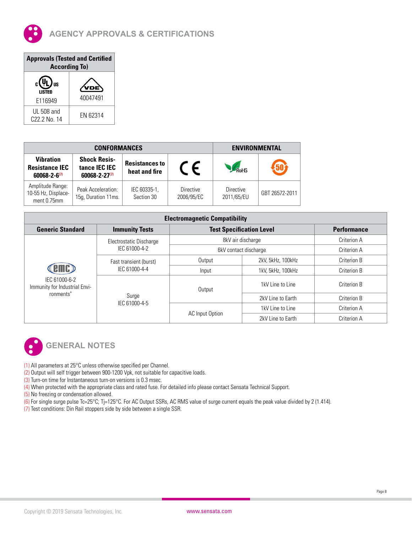

| <b>Approvals (Tested and Certified</b><br><b>According To)</b> |          |  |  |  |  |
|----------------------------------------------------------------|----------|--|--|--|--|
| <b>US</b><br><b>LISTED</b>                                     |          |  |  |  |  |
| F116949                                                        | 40047491 |  |  |  |  |
| UL 508 and<br>C <sub>22.2</sub> No. 14                         | FN 62314 |  |  |  |  |

|                                                                    | <b>CONFORMANCES</b>                                         | <b>ENVIRONMENTAL</b>                   |                         |                                |                |
|--------------------------------------------------------------------|-------------------------------------------------------------|----------------------------------------|-------------------------|--------------------------------|----------------|
| <b>Vibration</b><br><b>Resistance IEC</b><br>$60068 - 2 - 6^{(7)}$ | <b>Shock Resis-</b><br>tance IEC IEC<br>$60068 - 2 - 27(7)$ | <b>Resistances to</b><br>heat and fire | $\epsilon$              | RoH <sup>c</sup>               | $\sqrt{50}$    |
| Amplitude Range:<br>10-55 Hz, Displace-<br>ment 0.75mm             | Peak Acceleration:<br>15g, Duration 11ms.                   | IEC 60335-1,<br>Section 30             | Directive<br>2006/95/EC | <b>Directive</b><br>2011/65/EU | GBT 26572-2011 |

| <b>Electromagnetic Compatibility</b>                        |                                                  |                                 |                       |             |  |  |  |  |  |
|-------------------------------------------------------------|--------------------------------------------------|---------------------------------|-----------------------|-------------|--|--|--|--|--|
| <b>Generic Standard</b>                                     | <b>Immunity Tests</b>                            | <b>Test Specification Level</b> | <b>Performance</b>    |             |  |  |  |  |  |
|                                                             | Electrostatic Discharge                          |                                 | 8kV air discharge     | Criterion A |  |  |  |  |  |
|                                                             | IEC 61000-4-2                                    |                                 | 6kV contact discharge |             |  |  |  |  |  |
| IEC 61000-6-2<br>Immunity for Industrial Envi-<br>ronments" | Fast transient (burst)<br>IEC 61000-4-4<br>Surge | Output                          | 2kV, 5kHz, 100kHz     | Criterion B |  |  |  |  |  |
|                                                             |                                                  | Input                           | 1kV, 5kHz, 100kHz     | Criterion B |  |  |  |  |  |
|                                                             |                                                  | Output                          | 1kV Line to Line      | Criterion B |  |  |  |  |  |
|                                                             |                                                  |                                 | 2kV Line to Earth     | Criterion B |  |  |  |  |  |
|                                                             | IEC 61000-4-5                                    |                                 | 1kV Line to Line      | Criterion A |  |  |  |  |  |
|                                                             |                                                  | AC Input Option                 | 2kV Line to Earth     | Criterion A |  |  |  |  |  |



# **GENERAL NOTES**

- (1) All parameters at 25°C unless otherwise specified per Channel.
- (2) Output will self trigger between 900-1200 Vpk, not suitable for capacitive loads.
- (3) Turn-on time for Instantaneous turn-on versions is 0.3 msec.
- (4) When protected with the appropriate class and rated fuse. For detailed info please contact Sensata Technical Support.
- (5) No freezing or condensation allowed.
- (6) For single surge pulse Tc=25°C; Tj=125°C. For AC Output SSRs, AC RMS value of surge current equals the peak value divided by 2 (1.414).
- (7) Test conditions: Din Rail stoppers side by side between a single SSR.